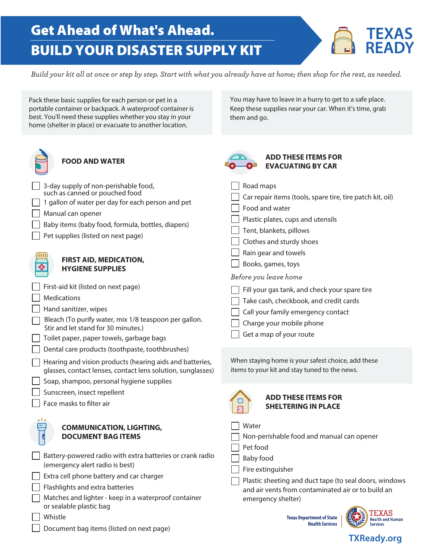## Get Ahead of What's Ahead. BUILD YOUR DISASTER SUPPLY KIT



You may have to leave in a hurry to get to a safe place. Keep these supplies near your car. When it's time, grab

*Build your kit all at once or step by step. Start with what you already have at home; then shop for the rest, as needed.* 

them and go.

Pack these basic supplies for each person or pet in a portable container or backpack. A waterproof container is best. You'll need these supplies whether you stay in your home (shelter in place) or evacuate to another location.

FOOD AND WATER<br>**EXAMPLE SOLO** BY ADD THE SOLO BY AND WATER  $\Box$  3-day supply of non-peristrable food,<br>such as canned or pouched food <table>\n<tbody>\n<tr>\n<td>1 gallon of water per day for each person and pet</td>\n</tr>\n<tr>\n<td>1 manual can opener</td>\n</tr>\n<tr>\n<td>Baby items (baby food, formula, bottles, diapers)</td>\n</tr>\n<tr>\n<td>Pet supplies (listed on next page)</td>\n</tr>\n<tr>\n<td>1 F</td>\n</tr>\n</tbody>\n</table> **FIRST AID, MEDICATION,**  $\overline{\mathbf{G}}$  **FIRST AID, MEDICATION,**  $\overline{\mathbf{G}}$  **B**<br> **HYGIENE SUPPLIES** □ Books, games, toys □ □ □ □ □ □ □ □ □ □ Toilet paper, paper towels, garbage bags □ Dental care products (toothpaste, toothbrushes) □ Treating and vision products (itediting and batteries,<br>glasses, contact lenses, contact lens solution, sunglasses) │ │ Soap, shampoo, personal hygiene supplies<br>┌┐ □ Sunscreen, insect repellent<br>□ □ Sunscreen, insect repellent<br>□ Face masks to filter air<br>S  $\sqrt{2}$ □ "  $\Box$ □ Battery-powered radio with extra batteries or crank radio  $\Box$  B.<br>
(emergency alert radio is best) □ □ □ □ Extra cell phone battery and car charger **FOOD AND WATER**  3-day supply of non-perishable food, | 1 gallon of water per day for each person and pet Manual can opener Baby items (baby food, formula, bottles, diapers) Pet supplies (listed on next page) **FIRST AID, MEDICATION, HYGIENE SUPPLIES**  First-aid kit (listed on next page) **Medications** Hand sanitizer, wipes Bleach (To purify water, mix 1/8 teaspoon per gallon. Stir and let stand for 30 minutes.) Hearing and vision products (hearing aids and batteries, Face masks to filter air **COMMUNICATION, LIGHTING, DOCUMENT BAG ITEMS**  (emergency alert radio is best) Flashlights and extra batteries **ADD THESE ITEMS FOR EVACUATING BY CAR**   $\Box$  Road maps Car repair items (tools, spare tire, tire patch kit, oil) Food and water Plastic plates, cups and utensils | Tent, blankets, pillows Clothes and sturdy shoes Rain gear and towels *Before you leave home*   $\Box$  Fill your gas tank, and check your spare tire  $\Box$  Take cash, checkbook, and credit cards Call your family emergency contact Charge your mobile phone Get a map of your route When staying home is your safest choice, add these items to your kit and stay tuned to the news. **ADD THESE ITEMS FOR SHELTERING IN PLACE**  Water Non-perishable food and manual can opener Pet food Baby food Fire extinguisher Plastic sheeting and duct tape (to seal doors, windows and air vents from contaminated air or to build an

- □ or sealable plastic bag Matches and lighter - keep in a waterproof container
- □ " Whistle
- □ Document bag items (listed on next page)

**Texas Department of State** j **Health Services** 

emergency shelter)